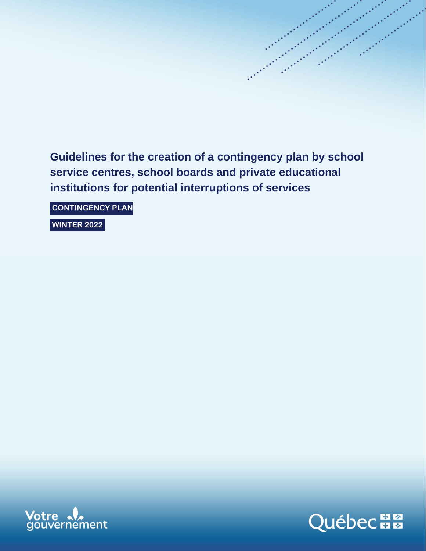**Guidelines for the creation of a contingency plan by school service centres, school boards and private educational institutions for potential interruptions of services**

**CONTINGENCY PLAN**

**WINTER 2022**



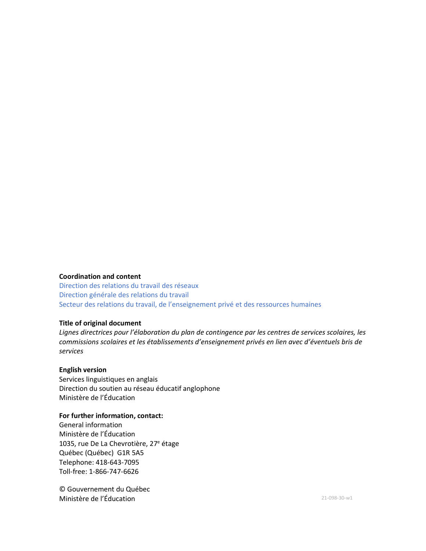## **Coordination and content**

Direction des relations du travail des réseaux Direction générale des relations du travail Secteur des relations du travail, de l'enseignement privé et des ressources humaines

#### **Title of original document**

*Lignes directrices pour l'élaboration du plan de contingence par les centres de services scolaires, les commissions scolaires et les établissements d'enseignement privés en lien avec d'éventuels bris de services*

#### **English version**

Services linguistiques en anglais Direction du soutien au réseau éducatif anglophone Ministère de l'Éducation

### **For further information, contact:**

General information Ministère de l'Éducation 1035, rue De La Chevrotière, 27<sup>e</sup> étage Québec (Québec) G1R 5A5 Telephone: 418-643-7095 Toll-free: 1-866-747-6626

© Gouvernement du Québec **Ministère de l'Éducation** 21-098-30-w1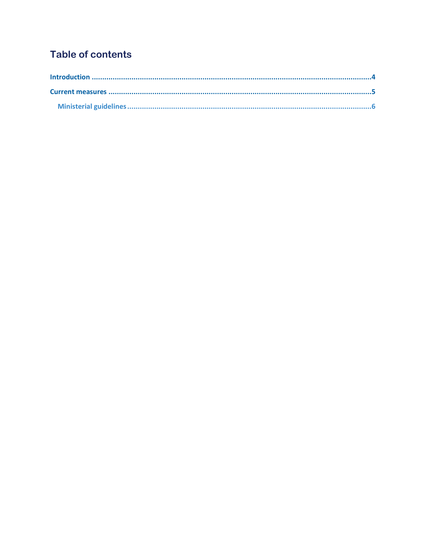# **Table of contents**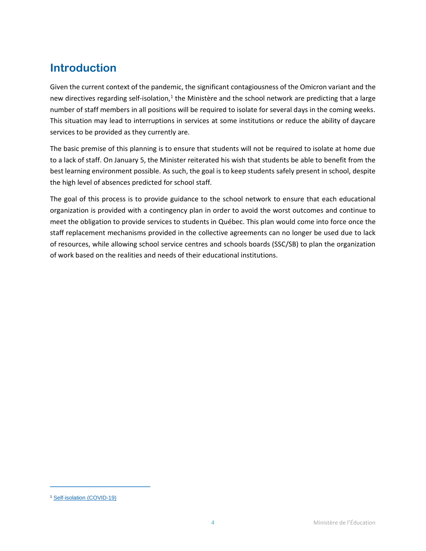# <span id="page-3-0"></span>**Introduction**

Given the current context of the pandemic, the significant contagiousness of the Omicron variant and the new directives regarding self-isolation,<sup>1</sup> the Ministère and the school network are predicting that a large number of staff members in all positions will be required to isolate for several days in the coming weeks. This situation may lead to interruptions in services at some institutions or reduce the ability of daycare services to be provided as they currently are.

The basic premise of this planning is to ensure that students will not be required to isolate at home due to a lack of staff. On January 5, the Minister reiterated his wish that students be able to benefit from the best learning environment possible. As such, the goal is to keep students safely present in school, despite the high level of absences predicted for school staff.

<span id="page-3-1"></span>The goal of this process is to provide guidance to the school network to ensure that each educational organization is provided with a contingency plan in order to avoid the worst outcomes and continue to meet the obligation to provide services to students in Québec. This plan would come into force once the staff replacement mechanisms provided in the collective agreements can no longer be used due to lack of resources, while allowing school service centres and schools boards (SSC/SB) to plan the organization of work based on the realities and needs of their educational institutions.

<sup>1</sup> [Self-isolation \(COVID-19\)](https://www.quebec.ca/en/health/health-issues/a-z/2019-coronavirus/self-isolation)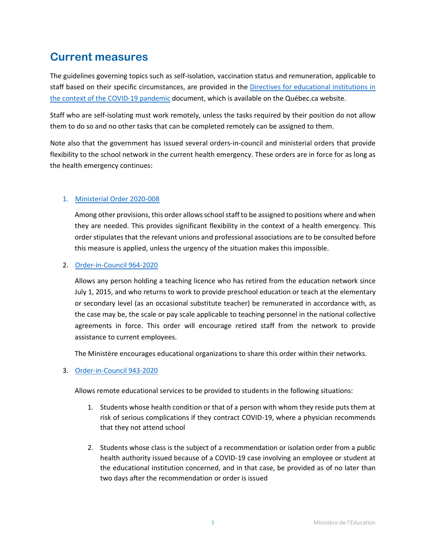# **Current measures**

The guidelines governing topics such as self-isolation, vaccination status and remuneration, applicable to staff based on their specific circumstances, are provided in the [Directives for educational institutions in](https://www.quebec.ca/en/education/guidelines-education-covid)  the context [of the COVID-19 pandemic](https://www.quebec.ca/en/education/guidelines-education-covid) document, which is available on the Québec.ca website.

Staff who are self-isolating must work remotely, unless the tasks required by their position do not allow them to do so and no other tasks that can be completed remotely can be assigned to them.

Note also that the government has issued several orders-in-council and ministerial orders that provide flexibility to the school network in the current health emergency. These orders are in force for as long as the health emergency continues:

# 1. [Ministerial Order 2020-008](https://cdn-contenu.quebec.ca/cdn-contenu/adm/min/sante-services-sociaux/publications-adm/lois-reglements/AM_numero_2020-008-anglais.pdf?1585010339)

Among other provisions, this order allows school staff to be assigned to positions where and when they are needed. This provides significant flexibility in the context of a health emergency. This order stipulates that the relevant unions and professional associations are to be consulted before this measure is applied, unless the urgency of the situation makes this impossible.

# 2. [Order-in-Council 964-2020](https://cdn-contenu.quebec.ca/cdn-contenu/adm/min/sante-services-sociaux/publications-adm/lois-reglements/decret-964-2020-anglais.pdf?1600787977)

Allows any person holding a teaching licence who has retired from the education network since July 1, 2015, and who returns to work to provide preschool education or teach at the elementary or secondary level (as an occasional substitute teacher) be remunerated in accordance with, as the case may be, the scale or pay scale applicable to teaching personnel in the national collective agreements in force. This order will encourage retired staff from the network to provide assistance to current employees.

The Ministère encourages educational organizations to share this order within their networks.

# 3. [Order-in-Council 943-2020](https://cdn-contenu.quebec.ca/cdn-contenu/adm/min/sante-services-sociaux/publications-adm/lois-reglements/decret-943-2020-anglais.pdf?1599691136)

Allows remote educational services to be provided to students in the following situations:

- 1. Students whose health condition or that of a person with whom they reside puts them at risk of serious complications if they contract COVID-19, where a physician recommends that they not attend school
- 2. Students whose class is the subject of a recommendation or isolation order from a public health authority issued because of a COVID-19 case involving an employee or student at the educational institution concerned, and in that case, be provided as of no later than two days after the recommendation or order is issued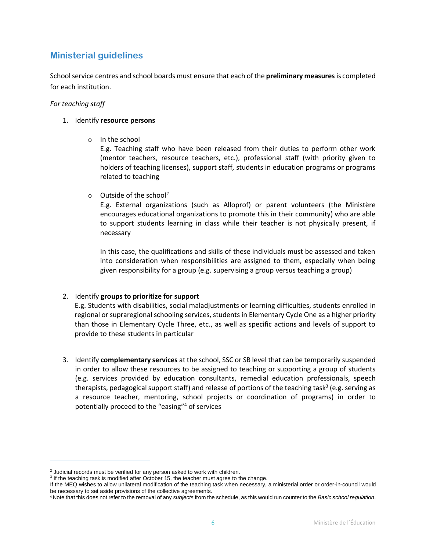# <span id="page-5-0"></span>**Ministerial guidelines**

School service centres and school boards must ensure that each of the **preliminary measures** is completed for each institution.

#### *For teaching staff*

#### 1. Identify **resource persons**

o In the school

E.g. Teaching staff who have been released from their duties to perform other work (mentor teachers, resource teachers, etc.), professional staff (with priority given to holders of teaching licenses), support staff, students in education programs or programs related to teaching

 $\circ$  Outside of the school<sup>2</sup>

E.g. External organizations (such as Alloprof) or parent volunteers (the Ministère encourages educational organizations to promote this in their community) who are able to support students learning in class while their teacher is not physically present, if necessary

In this case, the qualifications and skills of these individuals must be assessed and taken into consideration when responsibilities are assigned to them, especially when being given responsibility for a group (e.g. supervising a group versus teaching a group)

### 2. Identify **groups to prioritize for support**

E.g. Students with disabilities, social maladjustments or learning difficulties, students enrolled in regional or supraregional schooling services, students in Elementary Cycle One as a higher priority than those in Elementary Cycle Three, etc., as well as specific actions and levels of support to provide to these students in particular

3. Identify **complementary services** at the school, SSC or SB level that can be temporarily suspended in order to allow these resources to be assigned to teaching or supporting a group of students (e.g. services provided by education consultants, remedial education professionals, speech therapists, pedagogical support staff) and release of portions of the teaching task<sup>3</sup> (e.g. serving as a resource teacher, mentoring, school projects or coordination of programs) in order to potentially proceed to the "easing" <sup>4</sup> of services

 $2$  Judicial records must be verified for any person asked to work with children.

<sup>&</sup>lt;sup>3</sup> If the teaching task is modified after October 15, the teacher must agree to the change.

If the MEQ wishes to allow unilateral modification of the teaching task when necessary, a ministerial order or order-in-council would be necessary to set aside provisions of the collective agreements.

<sup>4</sup> Note that this does not refer to the removal of any *subjects* from the schedule, as this would run counter to the *Basic school regulation*.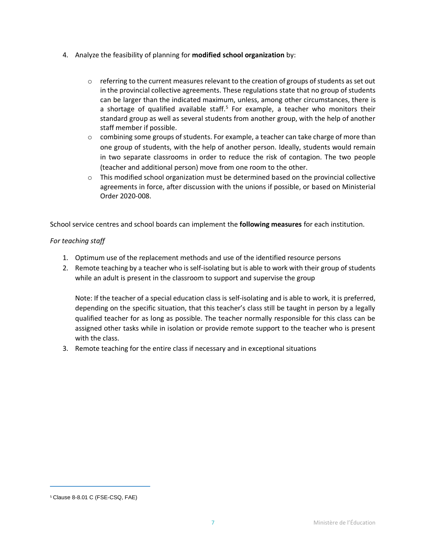- 4. Analyze the feasibility of planning for **modified school organization** by:
	- $\circ$  referring to the current measures relevant to the creation of groups of students as set out in the provincial collective agreements. These regulations state that no group of students can be larger than the indicated maximum, unless, among other circumstances, there is a shortage of qualified available staff. <sup>5</sup> For example, a teacher who monitors their standard group as well as several students from another group, with the help of another staff member if possible.
	- $\circ$  combining some groups of students. For example, a teacher can take charge of more than one group of students, with the help of another person. Ideally, students would remain in two separate classrooms in order to reduce the risk of contagion. The two people (teacher and additional person) move from one room to the other.
	- $\circ$  This modified school organization must be determined based on the provincial collective agreements in force, after discussion with the unions if possible, or based on Ministerial Order 2020-008.

School service centres and school boards can implement the **following measures** for each institution.

# *For teaching staff*

- 1. Optimum use of the replacement methods and use of the identified resource persons
- 2. Remote teaching by a teacher who is self-isolating but is able to work with their group of students while an adult is present in the classroom to support and supervise the group

Note: If the teacher of a special education class is self-isolating and is able to work, it is preferred, depending on the specific situation, that this teacher's class still be taught in person by a legally qualified teacher for as long as possible. The teacher normally responsible for this class can be assigned other tasks while in isolation or provide remote support to the teacher who is present with the class.

3. Remote teaching for the entire class if necessary and in exceptional situations

<sup>5</sup> Clause 8-8.01 C (FSE-CSQ, FAE)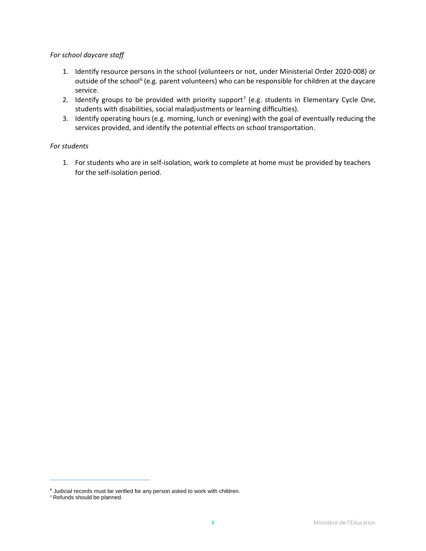#### *For school daycare staff*

- 1. Identify resource persons in the school (volunteers or not, under Ministerial Order 2020-008) or outside of the school<sup>6</sup> (e.g. parent volunteers) who can be responsible for children at the daycare service.
- 2. Identify groups to be provided with priority support<sup>7</sup> (e.g. students in Elementary Cycle One, students with disabilities, social maladjustments or learning difficulties).
- 3. Identify operating hours (e.g. morning, lunch or evening) with the goal of eventually reducing the services provided, and identify the potential effects on school transportation.

### *For students*

1. For students who are in self-isolation, work to complete at home must be provided by teachers for the self-isolation period.

 $6$  Judicial records must be verified for any person asked to work with children.

<sup>7</sup> Refunds should be planned.